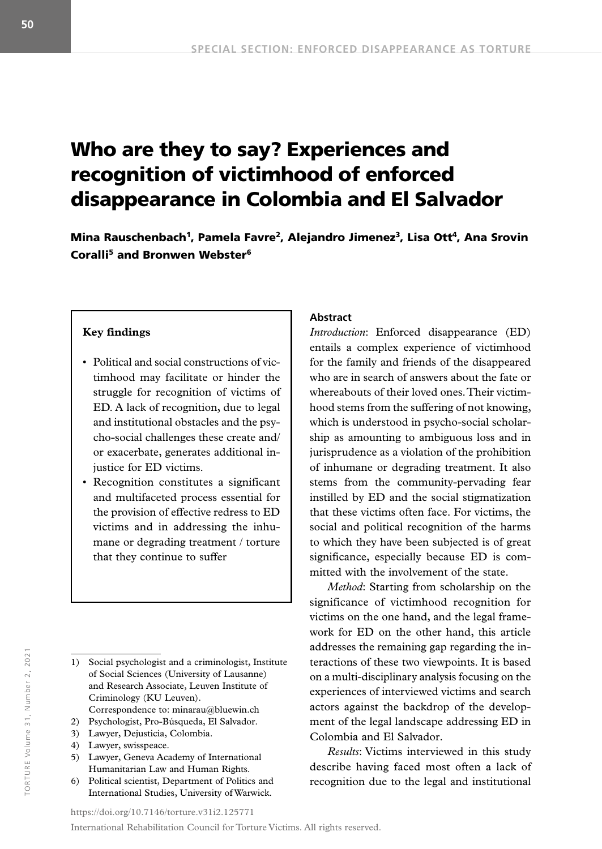# Who are they to say? Experiences and recognition of victimhood of enforced disappearance in Colombia and El Salvador

Mina Rauschenbach<sup>1</sup>, Pamela Favre<sup>2</sup>, Alejandro Jimenez<sup>3</sup>, Lisa Ott<sup>4</sup>, Ana Srovin Coralli5 and Bronwen Webster6

#### **Key findings**

- Political and social constructions of victimhood may facilitate or hinder the struggle for recognition of victims of ED. A lack of recognition, due to legal and institutional obstacles and the psycho-social challenges these create and/ or exacerbate, generates additional injustice for ED victims.
- Recognition constitutes a significant and multifaceted process essential for the provision of effective redress to ED victims and in addressing the inhumane or degrading treatment / torture that they continue to suffer

- 2) Psychologist, Pro-Búsqueda, El Salvador.
- 3) Lawyer, Dejusticia, Colombia.
- 4) Lawyer, swisspeace.
- 5) Lawyer, Geneva Academy of International Humanitarian Law and Human Rights.
- 6) Political scientist, Department of Politics and International Studies, University of Warwick.

#### **Abstract**

*Introduction*: Enforced disappearance (ED) entails a complex experience of victimhood for the family and friends of the disappeared who are in search of answers about the fate or whereabouts of their loved ones. Their victimhood stems from the suffering of not knowing, which is understood in psycho-social scholarship as amounting to ambiguous loss and in jurisprudence as a violation of the prohibition of inhumane or degrading treatment. It also stems from the community-pervading fear instilled by ED and the social stigmatization that these victims often face. For victims, the social and political recognition of the harms to which they have been subjected is of great significance, especially because ED is committed with the involvement of the state.

*Method*: Starting from scholarship on the significance of victimhood recognition for victims on the one hand, and the legal framework for ED on the other hand, this article addresses the remaining gap regarding the interactions of these two viewpoints. It is based on a multi-disciplinary analysis focusing on the experiences of interviewed victims and search actors against the backdrop of the development of the legal landscape addressing ED in Colombia and El Salvador.

*Results*: Victims interviewed in this study describe having faced most often a lack of recognition due to the legal and institutional

TORTURE Volume 31, Number 2, 2021

"ORTURE Volume 31, Number 2, 202"

[https://doi.org/1](https://doi.org/10.7146/torture.v29i1.111205)0.7146/torture.v31i2.125771 International Rehabilitation Council for Torture Victims. All rights reserved.

<sup>1)</sup> Social psychologist and a criminologist, Institute of Social Sciences (University of Lausanne) and Research Associate, Leuven Institute of Criminology (KU Leuven). Correspondence to: minarau@bluewin.ch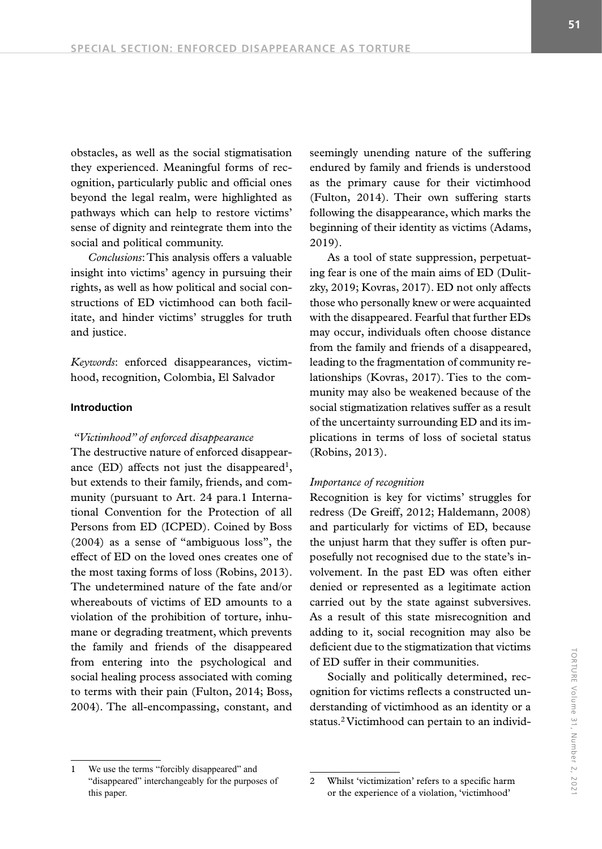obstacles, as well as the social stigmatisation they experienced. Meaningful forms of recognition, particularly public and official ones beyond the legal realm, were highlighted as pathways which can help to restore victims' sense of dignity and reintegrate them into the

*Conclusions*: This analysis offers a valuable insight into victims' agency in pursuing their rights, as well as how political and social constructions of ED victimhood can both facilitate, and hinder victims' struggles for truth and justice.

social and political community.

*Keywords*: enforced disappearances, victimhood, recognition, Colombia, El Salvador

#### **Introduction**

#### *"Victimhood" of enforced disappearance*

The destructive nature of enforced disappearance  $(ED)$  affects not just the disappeared<sup>1</sup>, but extends to their family, friends, and community (pursuant to Art. 24 para.1 International Convention for the Protection of all Persons from ED (ICPED). Coined by Boss (2004) as a sense of "ambiguous loss", the effect of ED on the loved ones creates one of the most taxing forms of loss (Robins, 2013). The undetermined nature of the fate and/or whereabouts of victims of ED amounts to a violation of the prohibition of torture, inhumane or degrading treatment, which prevents the family and friends of the disappeared from entering into the psychological and social healing process associated with coming to terms with their pain (Fulton, 2014; Boss, 2004). The all-encompassing, constant, and seemingly unending nature of the suffering endured by family and friends is understood as the primary cause for their victimhood (Fulton, 2014). Their own suffering starts following the disappearance, which marks the beginning of their identity as victims (Adams, 2019).

As a tool of state suppression, perpetuating fear is one of the main aims of ED (Dulitzky, 2019; Kovras, 2017). ED not only affects those who personally knew or were acquainted with the disappeared. Fearful that further EDs may occur, individuals often choose distance from the family and friends of a disappeared, leading to the fragmentation of community relationships (Kovras, 2017). Ties to the community may also be weakened because of the social stigmatization relatives suffer as a result of the uncertainty surrounding ED and its implications in terms of loss of societal status (Robins, 2013).

#### *Importance of recognition*

Recognition is key for victims' struggles for redress (De Greiff, 2012; Haldemann, 2008) and particularly for victims of ED, because the unjust harm that they suffer is often purposefully not recognised due to the state's involvement. In the past ED was often either denied or represented as a legitimate action carried out by the state against subversives. As a result of this state misrecognition and adding to it, social recognition may also be deficient due to the stigmatization that victims of ED suffer in their communities.

Socially and politically determined, recognition for victims reflects a constructed understanding of victimhood as an identity or a status.<sup>2</sup> Victimhood can pertain to an individ-

We use the terms "forcibly disappeared" and "disappeared" interchangeably for the purposes of this paper.

<sup>2</sup> Whilst 'victimization' refers to a specific harm or the experience of a violation, 'victimhood'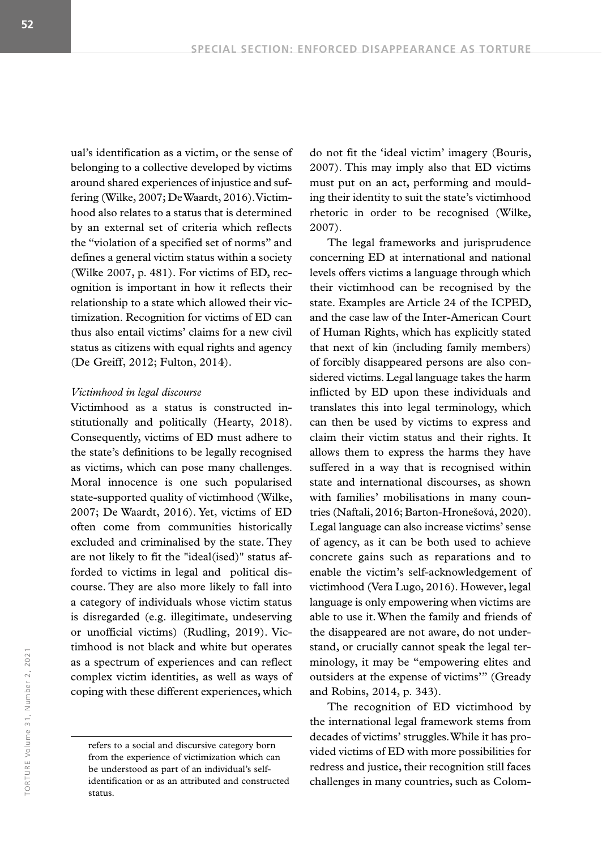ual's identification as a victim, or the sense of belonging to a collective developed by victims around shared experiences of injustice and suffering (Wilke, 2007; De Waardt, 2016). Victimhood also relates to a status that is determined by an external set of criteria which reflects the "violation of a specified set of norms" and defines a general victim status within a society (Wilke 2007, p. 481). For victims of ED, recognition is important in how it reflects their relationship to a state which allowed their victimization. Recognition for victims of ED can thus also entail victims' claims for a new civil status as citizens with equal rights and agency (De Greiff, 2012; Fulton, 2014).

#### *Victimhood in legal discourse*

Victimhood as a status is constructed institutionally and politically (Hearty, 2018). Consequently, victims of ED must adhere to the state's definitions to be legally recognised as victims, which can pose many challenges. Moral innocence is one such popularised state-supported quality of victimhood (Wilke, 2007; De Waardt, 2016). Yet, victims of ED often come from communities historically excluded and criminalised by the state. They are not likely to fit the "ideal(ised)" status afforded to victims in legal and political discourse. They are also more likely to fall into a category of individuals whose victim status is disregarded (e.g. illegitimate, undeserving or unofficial victims) (Rudling, 2019). Victimhood is not black and white but operates as a spectrum of experiences and can reflect complex victim identities, as well as ways of coping with these different experiences, which

do not fit the 'ideal victim' imagery (Bouris, 2007). This may imply also that ED victims must put on an act, performing and moulding their identity to suit the state's victimhood rhetoric in order to be recognised (Wilke, 2007).

The legal frameworks and jurisprudence concerning ED at international and national levels offers victims a language through which their victimhood can be recognised by the state. Examples are Article 24 of the ICPED, and the case law of the Inter-American Court of Human Rights, which has explicitly stated that next of kin (including family members) of forcibly disappeared persons are also considered victims. Legal language takes the harm inflicted by ED upon these individuals and translates this into legal terminology, which can then be used by victims to express and claim their victim status and their rights. It allows them to express the harms they have suffered in a way that is recognised within state and international discourses, as shown with families' mobilisations in many countries (Naftali, 2016; Barton-Hronešová, 2020). Legal language can also increase victims' sense of agency, as it can be both used to achieve concrete gains such as reparations and to enable the victim's self-acknowledgement of victimhood (Vera Lugo, 2016). However, legal language is only empowering when victims are able to use it. When the family and friends of the disappeared are not aware, do not understand, or crucially cannot speak the legal terminology, it may be "empowering elites and outsiders at the expense of victims'" (Gready and Robins, 2014, p. 343).

The recognition of ED victimhood by the international legal framework stems from decades of victims' struggles. While it has provided victims of ED with more possibilities for redress and justice, their recognition still faces challenges in many countries, such as Colom-

refers to a social and discursive category born from the experience of victimization which can be understood as part of an individual's selfidentification or as an attributed and constructed status.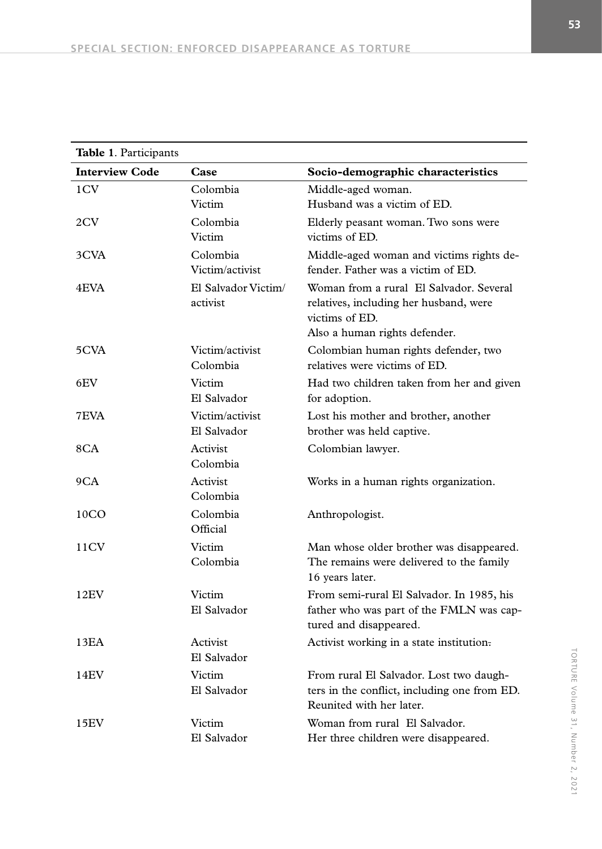| Table 1. Participants |                                 |                                                                                                                                      |
|-----------------------|---------------------------------|--------------------------------------------------------------------------------------------------------------------------------------|
| <b>Interview Code</b> | Case                            | Socio-demographic characteristics                                                                                                    |
| 1CV                   | Colombia<br>Victim              | Middle-aged woman.<br>Husband was a victim of ED.                                                                                    |
| 2CV                   | Colombia<br>Victim              | Elderly peasant woman. Two sons were<br>victims of ED.                                                                               |
| 3CVA                  | Colombia<br>Victim/activist     | Middle-aged woman and victims rights de-<br>fender. Father was a victim of ED.                                                       |
| 4EVA                  | El Salvador Victim/<br>activist | Woman from a rural El Salvador. Several<br>relatives, including her husband, were<br>victims of ED.<br>Also a human rights defender. |
| 5CVA                  | Victim/activist<br>Colombia     | Colombian human rights defender, two<br>relatives were victims of ED.                                                                |
| 6EV                   | Victim<br>El Salvador           | Had two children taken from her and given<br>for adoption.                                                                           |
| 7EVA                  | Victim/activist<br>El Salvador  | Lost his mother and brother, another<br>brother was held captive.                                                                    |
| 8CA                   | Activist<br>Colombia            | Colombian lawyer.                                                                                                                    |
| 9CA                   | Activist<br>Colombia            | Works in a human rights organization.                                                                                                |
| 10 <sub>CO</sub>      | Colombia<br>Official            | Anthropologist.                                                                                                                      |
| 11CV                  | Victim<br>Colombia              | Man whose older brother was disappeared.<br>The remains were delivered to the family<br>16 years later.                              |
| 12EV                  | Victim<br>El Salvador           | From semi-rural El Salvador. In 1985, his<br>father who was part of the FMLN was cap-<br>tured and disappeared.                      |
| 13EA                  | Activist<br>El Salvador         | Activist working in a state institution.                                                                                             |
| 14EV                  | Victim<br>El Salvador           | From rural El Salvador. Lost two daugh-<br>ters in the conflict, including one from ED.<br>Reunited with her later.                  |
| 15EV                  | Victim<br>El Salvador           | Woman from rural El Salvador.<br>Her three children were disappeared.                                                                |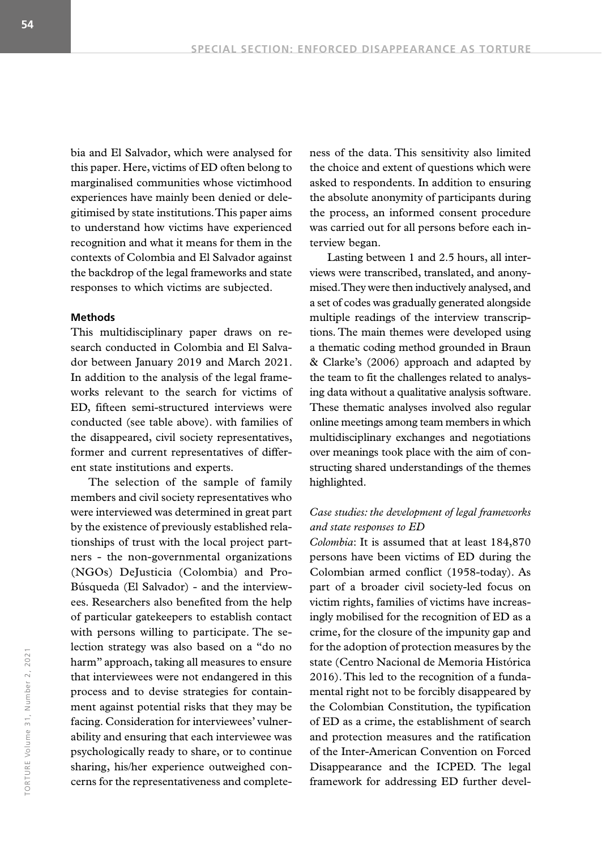bia and El Salvador, which were analysed for this paper. Here, victims of ED often belong to marginalised communities whose victimhood experiences have mainly been denied or delegitimised by state institutions. This paper aims to understand how victims have experienced recognition and what it means for them in the contexts of Colombia and El Salvador against the backdrop of the legal frameworks and state responses to which victims are subjected.

#### **Methods**

This multidisciplinary paper draws on research conducted in Colombia and El Salvador between January 2019 and March 2021. In addition to the analysis of the legal frameworks relevant to the search for victims of ED, fifteen semi-structured interviews were conducted (see table above). with families of the disappeared, civil society representatives, former and current representatives of different state institutions and experts.

The selection of the sample of family members and civil society representatives who were interviewed was determined in great part by the existence of previously established relationships of trust with the local project partners - the non-governmental organizations (NGOs) DeJusticia (Colombia) and Pro-Búsqueda (El Salvador) - and the interviewees. Researchers also benefited from the help of particular gatekeepers to establish contact with persons willing to participate. The selection strategy was also based on a "do no harm" approach, taking all measures to ensure that interviewees were not endangered in this process and to devise strategies for containment against potential risks that they may be facing. Consideration for interviewees' vulnerability and ensuring that each interviewee was psychologically ready to share, or to continue sharing, his/her experience outweighed concerns for the representativeness and completeness of the data. This sensitivity also limited the choice and extent of questions which were asked to respondents. In addition to ensuring the absolute anonymity of participants during the process, an informed consent procedure was carried out for all persons before each interview began.

Lasting between 1 and 2.5 hours, all interviews were transcribed, translated, and anonymised. They were then inductively analysed, and a set of codes was gradually generated alongside multiple readings of the interview transcriptions. The main themes were developed using a thematic coding method grounded in Braun & Clarke's (2006) approach and adapted by the team to fit the challenges related to analysing data without a qualitative analysis software. These thematic analyses involved also regular online meetings among team members in which multidisciplinary exchanges and negotiations over meanings took place with the aim of constructing shared understandings of the themes highlighted.

## *Case studies: the development of legal frameworks and state responses to ED*

*Colombia*: It is assumed that at least 184,870 persons have been victims of ED during the Colombian armed conflict (1958-today). As part of a broader civil society-led focus on victim rights, families of victims have increasingly mobilised for the recognition of ED as a crime, for the closure of the impunity gap and for the adoption of protection measures by the state (Centro Nacional de Memoria Histórica 2016). This led to the recognition of a fundamental right not to be forcibly disappeared by the Colombian Constitution, the typification of ED as a crime, the establishment of search and protection measures and the ratification of the Inter-American Convention on Forced Disappearance and the ICPED. The legal framework for addressing ED further devel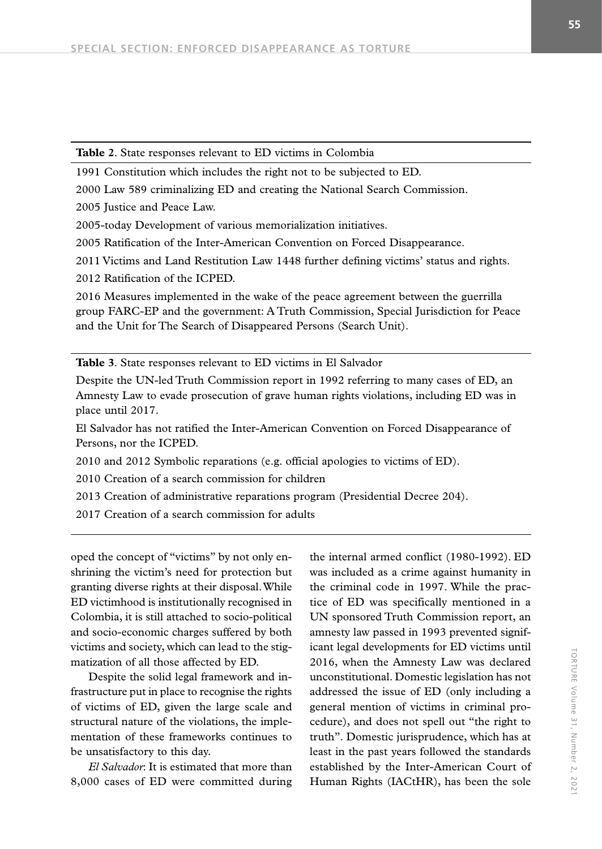1991 Constitution which includes the right not to be subjected to ED.

2000 Law 589 criminalizing ED and creating the National Search Commission.

2005 Justice and Peace Law.

2005-today Development of various memorialization initiatives.

2005 Ratification of the Inter-American Convention on Forced Disappearance.

2011 Victims and Land Restitution Law 1448 further defining victims' status and rights.

2012 Ratification of the ICPED.

2016 Measures implemented in the wake of the peace agreement between the guerrilla group FARC-EP and the government: A Truth Commission, Special Jurisdiction for Peace and the Unit for The Search of Disappeared Persons (Search Unit).

**Table 3**. State responses relevant to ED victims in El Salvador

Despite the UN-led Truth Commission report in 1992 referring to many cases of ED, an Amnesty Law to evade prosecution of grave human rights violations, including ED was in place until 2017.

El Salvador has not ratified the Inter-American Convention on Forced Disappearance of Persons, nor the ICPED.

2010 and 2012 Symbolic reparations (e.g. official apologies to victims of ED).

2010 Creation of a search commission for children

2013 Creation of administrative reparations program (Presidential Decree 204).

2017 Creation of a search commission for adults

oped the concept of "victims" by not only enshrining the victim's need for protection but granting diverse rights at their disposal. While ED victimhood is institutionally recognised in Colombia, it is still attached to socio-political and socio-economic charges suffered by both victims and society, which can lead to the stigmatization of all those affected by ED.

Despite the solid legal framework and infrastructure put in place to recognise the rights of victims of ED, given the large scale and structural nature of the violations, the implementation of these frameworks continues to be unsatisfactory to this day.

*El Salvador*: It is estimated that more than 8,000 cases of ED were committed during

the internal armed conflict (1980-1992). ED was included as a crime against humanity in the criminal code in 1997. While the practice of ED was specifically mentioned in a UN sponsored Truth Commission report, an amnesty law passed in 1993 prevented significant legal developments for ED victims until 2016, when the Amnesty Law was declared unconstitutional. Domestic legislation has not addressed the issue of ED (only including a general mention of victims in criminal procedure), and does not spell out "the right to truth". Domestic jurisprudence, which has at least in the past years followed the standards established by the Inter-American Court of Human Rights (IACtHR), has been the sole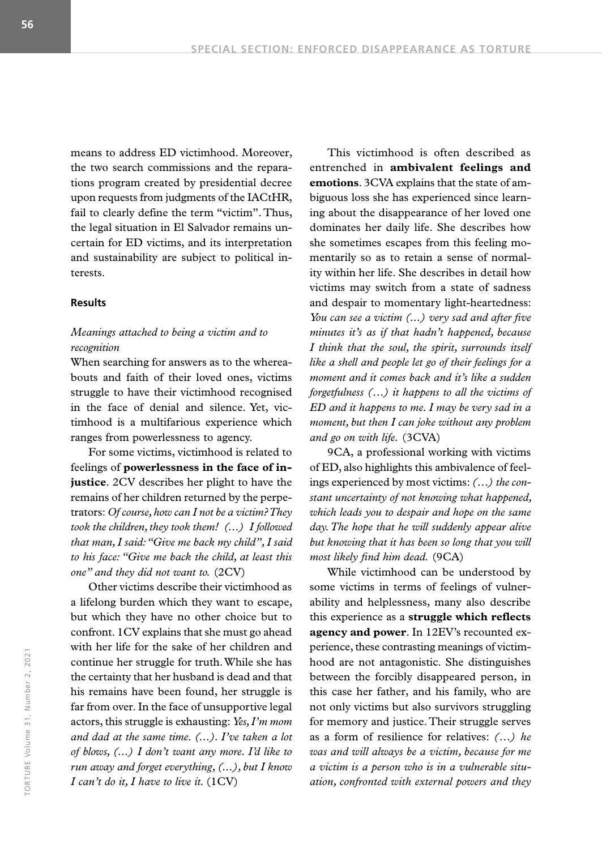means to address ED victimhood. Moreover, the two search commissions and the reparations program created by presidential decree upon requests from judgments of the IACtHR, fail to clearly define the term "victim". Thus, the legal situation in El Salvador remains uncertain for ED victims, and its interpretation and sustainability are subject to political interests.

#### **Results**

# *Meanings attached to being a victim and to recognition*

When searching for answers as to the whereabouts and faith of their loved ones, victims struggle to have their victimhood recognised in the face of denial and silence. Yet, victimhood is a multifarious experience which ranges from powerlessness to agency.

For some victims, victimhood is related to feelings of **powerlessness in the face of injustice**. 2CV describes her plight to have the remains of her children returned by the perpetrators: *Of course, how can I not be a victim? They took the children, they took them! (...) I followed that man, I said: "Give me back my child", I said to his face: "Give me back the child, at least this one" and they did not want to.* (2CV)

Other victims describe their victimhood as a lifelong burden which they want to escape, but which they have no other choice but to confront. 1CV explains that she must go ahead with her life for the sake of her children and continue her struggle for truth. While she has the certainty that her husband is dead and that his remains have been found, her struggle is far from over. In the face of unsupportive legal actors, this struggle is exhausting: *Yes, I'm mom and dad at the same time. (...). I've taken a lot of blows, (...) I don't want any more. I'd like to run away and forget everything, (...), but I know I can't do it, I have to live it.* (1CV)

This victimhood is often described as entrenched in **ambivalent feelings and emotions**. 3CVA explains that the state of ambiguous loss she has experienced since learning about the disappearance of her loved one dominates her daily life. She describes how she sometimes escapes from this feeling momentarily so as to retain a sense of normality within her life. She describes in detail how victims may switch from a state of sadness and despair to momentary light-heartedness: *You can see a victim (...) very sad and after five minutes it's as if that hadn't happened, because I think that the soul, the spirit, surrounds itself like a shell and people let go of their feelings for a moment and it comes back and it's like a sudden forgetfulness (…) it happens to all the victims of ED and it happens to me. I may be very sad in a moment, but then I can joke without any problem and go on with life.* (3CVA)

9CA, a professional working with victims of ED, also highlights this ambivalence of feelings experienced by most victims: *(…) the constant uncertainty of not knowing what happened, which leads you to despair and hope on the same day. The hope that he will suddenly appear alive but knowing that it has been so long that you will most likely find him dead.* (9CA)

While victimhood can be understood by some victims in terms of feelings of vulnerability and helplessness, many also describe this experience as a **struggle which reflects agency and power**. In 12EV's recounted experience, these contrasting meanings of victimhood are not antagonistic. She distinguishes between the forcibly disappeared person, in this case her father, and his family, who are not only victims but also survivors struggling for memory and justice. Their struggle serves as a form of resilience for relatives: *(…) he was and will always be a victim, because for me a victim is a person who is in a vulnerable situation, confronted with external powers and they*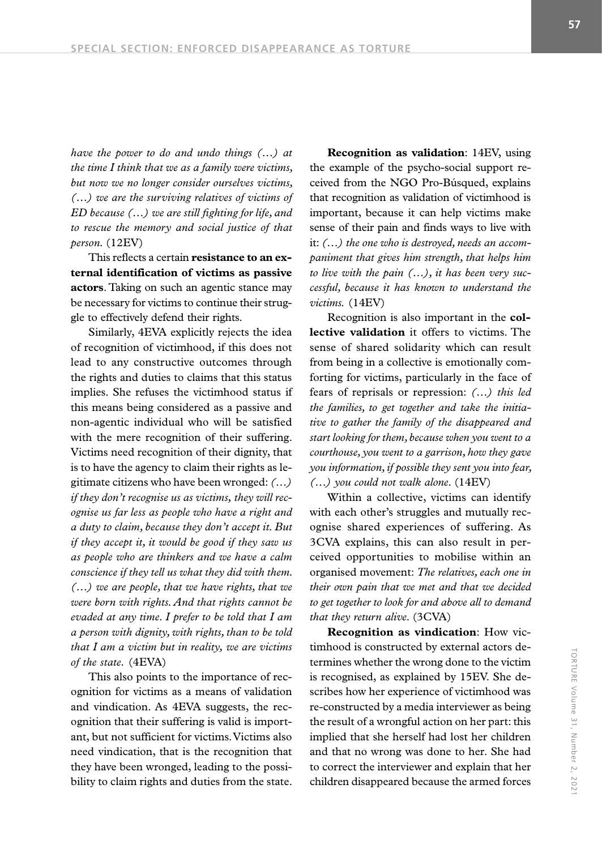*have the power to do and undo things (…) at the time I think that we as a family were victims, but now we no longer consider ourselves victims, (…) we are the surviving relatives of victims of ED because (…) we are still fighting for life, and to rescue the memory and social justice of that person.* (12EV)

This reflects a certain **resistance to an external identification of victims as passive actors**. Taking on such an agentic stance may be necessary for victims to continue their struggle to effectively defend their rights.

Similarly, 4EVA explicitly rejects the idea of recognition of victimhood, if this does not lead to any constructive outcomes through the rights and duties to claims that this status implies. She refuses the victimhood status if this means being considered as a passive and non-agentic individual who will be satisfied with the mere recognition of their suffering. Victims need recognition of their dignity, that is to have the agency to claim their rights as legitimate citizens who have been wronged: *(…) if they don't recognise us as victims, they will recognise us far less as people who have a right and a duty to claim, because they don't accept it. But if they accept it, it would be good if they saw us as people who are thinkers and we have a calm conscience if they tell us what they did with them. (…) we are people, that we have rights, that we were born with rights. And that rights cannot be evaded at any time. I prefer to be told that I am a person with dignity, with rights, than to be told that I am a victim but in reality, we are victims of the state.* (4EVA)

This also points to the importance of recognition for victims as a means of validation and vindication. As 4EVA suggests, the recognition that their suffering is valid is important, but not sufficient for victims. Victims also need vindication, that is the recognition that they have been wronged, leading to the possibility to claim rights and duties from the state.

**Recognition as validation**: 14EV, using the example of the psycho-social support received from the NGO Pro-Búsqued, explains that recognition as validation of victimhood is important, because it can help victims make sense of their pain and finds ways to live with it: *(…) the one who is destroyed, needs an accompaniment that gives him strength, that helps him to live with the pain (…), it has been very successful, because it has known to understand the victims.* (14EV)

Recognition is also important in the **collective validation** it offers to victims. The sense of shared solidarity which can result from being in a collective is emotionally comforting for victims, particularly in the face of fears of reprisals or repression: *(…) this led the families, to get together and take the initiative to gather the family of the disappeared and start looking for them, because when you went to a courthouse, you went to a garrison, how they gave you information, if possible they sent you into fear, (…) you could not walk alone.* (14EV)

Within a collective, victims can identify with each other's struggles and mutually recognise shared experiences of suffering. As 3CVA explains, this can also result in perceived opportunities to mobilise within an organised movement: *The relatives, each one in their own pain that we met and that we decided to get together to look for and above all to demand that they return alive.* (3CVA)

**Recognition as vindication**: How victimhood is constructed by external actors determines whether the wrong done to the victim is recognised, as explained by 15EV. She describes how her experience of victimhood was re-constructed by a media interviewer as being the result of a wrongful action on her part: this implied that she herself had lost her children and that no wrong was done to her. She had to correct the interviewer and explain that her children disappeared because the armed forces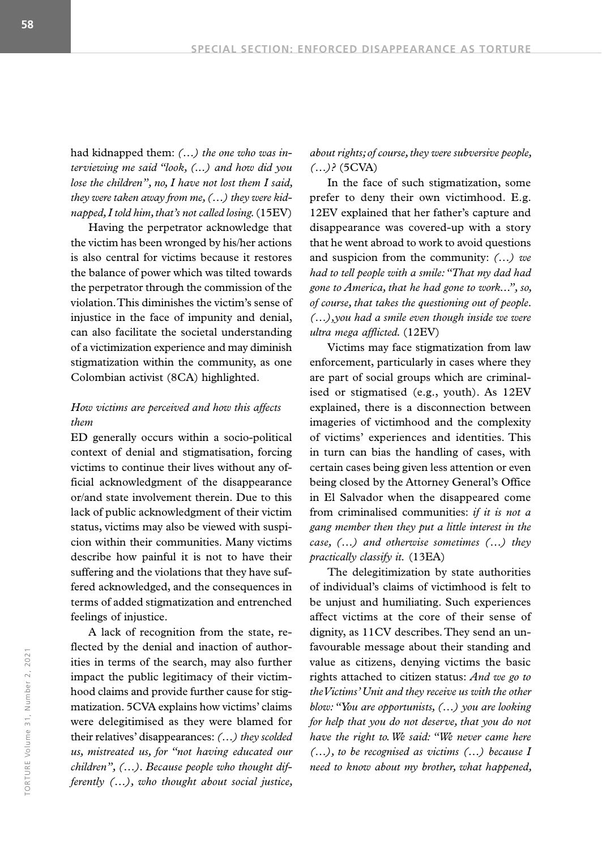had kidnapped them: *(…) the one who was interviewing me said "look, (...) and how did you lose the children", no, I have not lost them I said, they were taken away from me, (…) they were kidnapped, I told him, that's not called losing.* (15EV)

Having the perpetrator acknowledge that the victim has been wronged by his/her actions is also central for victims because it restores the balance of power which was tilted towards the perpetrator through the commission of the violation. This diminishes the victim's sense of injustice in the face of impunity and denial, can also facilitate the societal understanding of a victimization experience and may diminish stigmatization within the community, as one Colombian activist (8CA) highlighted.

# *How victims are perceived and how this affects them*

ED generally occurs within a socio-political context of denial and stigmatisation, forcing victims to continue their lives without any official acknowledgment of the disappearance or/and state involvement therein. Due to this lack of public acknowledgment of their victim status, victims may also be viewed with suspicion within their communities. Many victims describe how painful it is not to have their suffering and the violations that they have suffered acknowledged, and the consequences in terms of added stigmatization and entrenched feelings of injustice.

A lack of recognition from the state, reflected by the denial and inaction of authorities in terms of the search, may also further impact the public legitimacy of their victimhood claims and provide further cause for stigmatization. 5CVA explains how victims' claims were delegitimised as they were blamed for their relatives' disappearances: *(…) they scolded us, mistreated us, for "not having educated our children", (…). Because people who thought differently (…), who thought about social justice,* 

*about rights; of course, they were subversive people, (…)?* (5CVA)

In the face of such stigmatization, some prefer to deny their own victimhood. E.g. 12EV explained that her father's capture and disappearance was covered-up with a story that he went abroad to work to avoid questions and suspicion from the community: *(…) we had to tell people with a smile: "That my dad had gone to America, that he had gone to work...", so, of course, that takes the questioning out of people. (…),you had a smile even though inside we were ultra mega afflicted.* (12EV)

Victims may face stigmatization from law enforcement, particularly in cases where they are part of social groups which are criminalised or stigmatised (e.g., youth). As 12EV explained, there is a disconnection between imageries of victimhood and the complexity of victims' experiences and identities. This in turn can bias the handling of cases, with certain cases being given less attention or even being closed by the Attorney General's Office in El Salvador when the disappeared come from criminalised communities: *if it is not a gang member then they put a little interest in the case, (…) and otherwise sometimes (…) they practically classify it.* (13EA)

The delegitimization by state authorities of individual's claims of victimhood is felt to be unjust and humiliating. Such experiences affect victims at the core of their sense of dignity, as 11CV describes. They send an unfavourable message about their standing and value as citizens, denying victims the basic rights attached to citizen status: *And we go to the Victims' Unit and they receive us with the other blow: "You are opportunists, (…) you are looking for help that you do not deserve, that you do not have the right to. We said: "We never came here (…), to be recognised as victims (…) because I need to know about my brother, what happened,*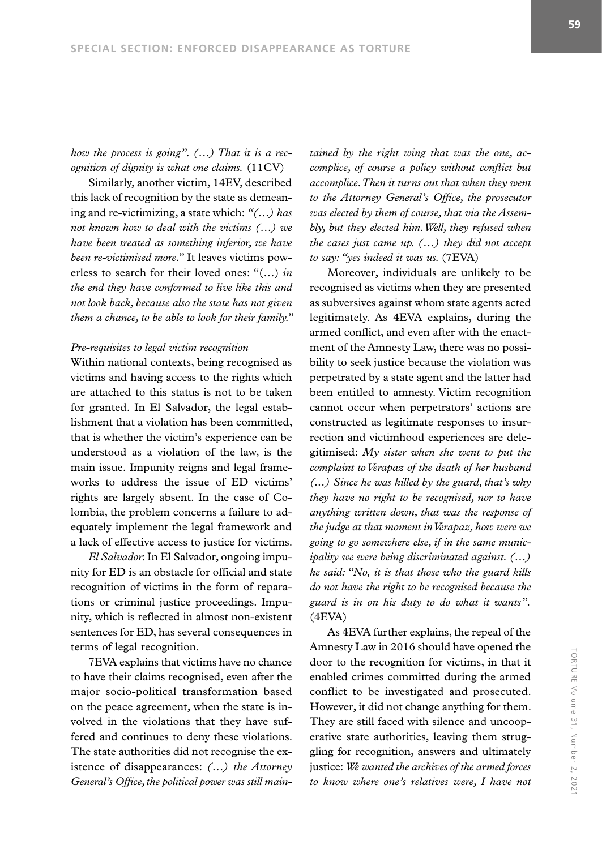*how the process is going". (…) That it is a recognition of dignity is what one claims.* (11CV)

Similarly, another victim, 14EV, described this lack of recognition by the state as demeaning and re-victimizing, a state which: *"(…) has not known how to deal with the victims (…) we have been treated as something inferior, we have been re-victimised more."* It leaves victims powerless to search for their loved ones: "(…) *in the end they have conformed to live like this and not look back, because also the state has not given them a chance, to be able to look for their family."*

#### *Pre-requisites to legal victim recognition*

Within national contexts, being recognised as victims and having access to the rights which are attached to this status is not to be taken for granted. In El Salvador, the legal establishment that a violation has been committed, that is whether the victim's experience can be understood as a violation of the law, is the main issue. Impunity reigns and legal frameworks to address the issue of ED victims' rights are largely absent. In the case of Colombia, the problem concerns a failure to adequately implement the legal framework and a lack of effective access to justice for victims.

*El Salvador*: In El Salvador, ongoing impunity for ED is an obstacle for official and state recognition of victims in the form of reparations or criminal justice proceedings. Impunity, which is reflected in almost non-existent sentences for ED, has several consequences in terms of legal recognition.

7EVA explains that victims have no chance to have their claims recognised, even after the major socio-political transformation based on the peace agreement, when the state is involved in the violations that they have suffered and continues to deny these violations. The state authorities did not recognise the existence of disappearances: *(…) the Attorney General's Office, the political power was still main-* *tained by the right wing that was the one, accomplice, of course a policy without conflict but accomplice. Then it turns out that when they went to the Attorney General's Office, the prosecutor was elected by them of course, that via the Assembly, but they elected him. Well, they refused when the cases just came up. (…) they did not accept to say: "yes indeed it was us.* (7EVA)

Moreover, individuals are unlikely to be recognised as victims when they are presented as subversives against whom state agents acted legitimately. As 4EVA explains, during the armed conflict, and even after with the enactment of the Amnesty Law, there was no possibility to seek justice because the violation was perpetrated by a state agent and the latter had been entitled to amnesty. Victim recognition cannot occur when perpetrators' actions are constructed as legitimate responses to insurrection and victimhood experiences are delegitimised: *My sister when she went to put the complaint to Verapaz of the death of her husband (...) Since he was killed by the guard, that's why they have no right to be recognised, nor to have anything written down, that was the response of the judge at that moment in Verapaz, how were we going to go somewhere else, if in the same municipality we were being discriminated against. (…) he said: "No, it is that those who the guard kills do not have the right to be recognised because the guard is in on his duty to do what it wants".* (4EVA)

As 4EVA further explains, the repeal of the Amnesty Law in 2016 should have opened the door to the recognition for victims, in that it enabled crimes committed during the armed conflict to be investigated and prosecuted. However, it did not change anything for them. They are still faced with silence and uncooperative state authorities, leaving them struggling for recognition, answers and ultimately justice: *We wanted the archives of the armed forces to know where one's relatives were, I have not*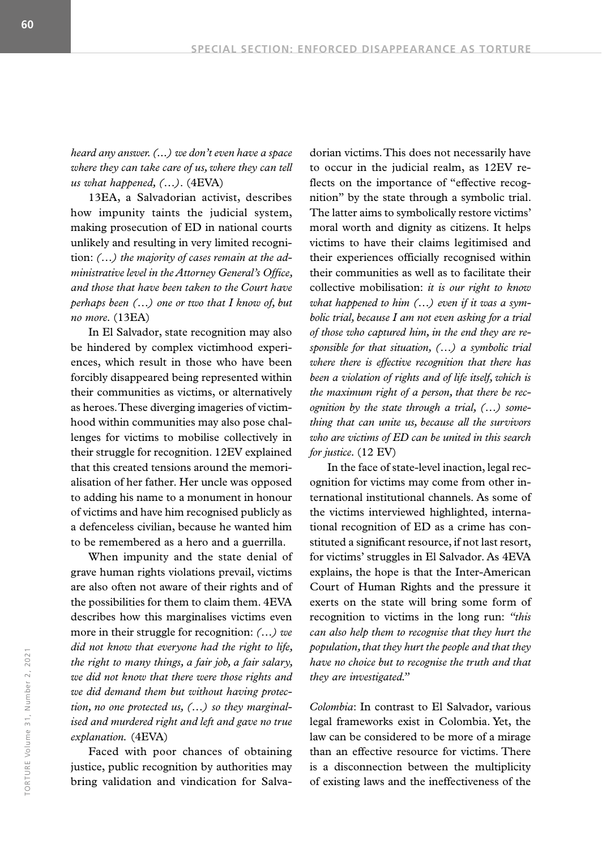*heard any answer. (...) we don't even have a space where they can take care of us, where they can tell us what happened, (…)*. (4EVA)

13EA, a Salvadorian activist, describes how impunity taints the judicial system, making prosecution of ED in national courts unlikely and resulting in very limited recognition: *(…) the majority of cases remain at the administrative level in the Attorney General's Office, and those that have been taken to the Court have perhaps been (…) one or two that I know of, but no more.* (13EA)

In El Salvador, state recognition may also be hindered by complex victimhood experiences, which result in those who have been forcibly disappeared being represented within their communities as victims, or alternatively as heroes. These diverging imageries of victimhood within communities may also pose challenges for victims to mobilise collectively in their struggle for recognition. 12EV explained that this created tensions around the memorialisation of her father. Her uncle was opposed to adding his name to a monument in honour of victims and have him recognised publicly as a defenceless civilian, because he wanted him to be remembered as a hero and a guerrilla.

When impunity and the state denial of grave human rights violations prevail, victims are also often not aware of their rights and of the possibilities for them to claim them. 4EVA describes how this marginalises victims even more in their struggle for recognition: *(…) we did not know that everyone had the right to life, the right to many things, a fair job, a fair salary, we did not know that there were those rights and we did demand them but without having protection, no one protected us, (…) so they marginalised and murdered right and left and gave no true explanation.* (4EVA)

Faced with poor chances of obtaining justice, public recognition by authorities may bring validation and vindication for Salvadorian victims. This does not necessarily have to occur in the judicial realm, as 12EV reflects on the importance of "effective recognition" by the state through a symbolic trial. The latter aims to symbolically restore victims' moral worth and dignity as citizens. It helps victims to have their claims legitimised and their experiences officially recognised within their communities as well as to facilitate their collective mobilisation: *it is our right to know what happened to him (…) even if it was a symbolic trial, because I am not even asking for a trial of those who captured him, in the end they are responsible for that situation, (…) a symbolic trial where there is effective recognition that there has been a violation of rights and of life itself, which is the maximum right of a person, that there be recognition by the state through a trial, (…) something that can unite us, because all the survivors who are victims of ED can be united in this search for justice.* (12 EV)

In the face of state-level inaction, legal recognition for victims may come from other international institutional channels. As some of the victims interviewed highlighted, international recognition of ED as a crime has constituted a significant resource, if not last resort, for victims' struggles in El Salvador. As 4EVA explains, the hope is that the Inter-American Court of Human Rights and the pressure it exerts on the state will bring some form of recognition to victims in the long run: *"this can also help them to recognise that they hurt the population, that they hurt the people and that they have no choice but to recognise the truth and that they are investigated."* 

*Colombia*: In contrast to El Salvador, various legal frameworks exist in Colombia. Yet, the law can be considered to be more of a mirage than an effective resource for victims. There is a disconnection between the multiplicity of existing laws and the ineffectiveness of the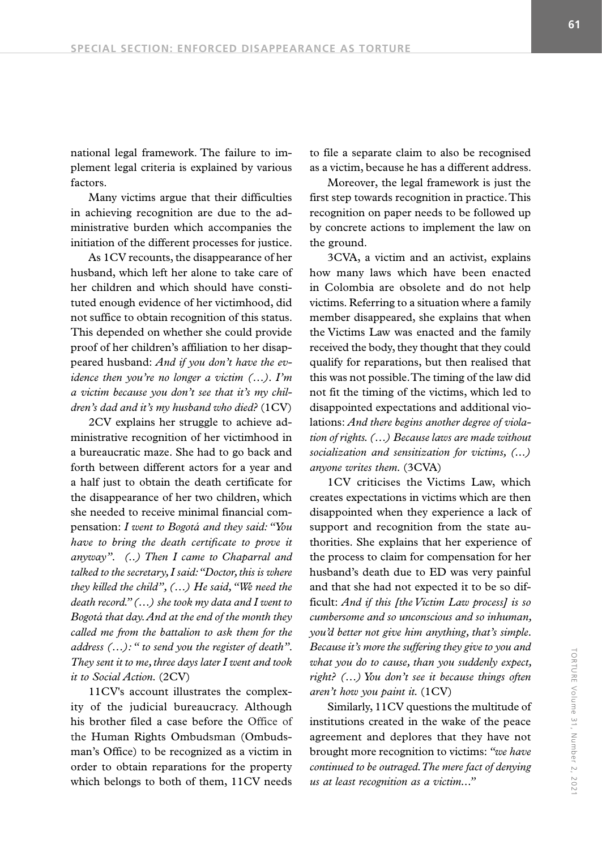national legal framework. The failure to implement legal criteria is explained by various factors.

Many victims argue that their difficulties in achieving recognition are due to the administrative burden which accompanies the initiation of the different processes for justice.

As 1CV recounts, the disappearance of her husband, which left her alone to take care of her children and which should have constituted enough evidence of her victimhood, did not suffice to obtain recognition of this status. This depended on whether she could provide proof of her children's affiliation to her disappeared husband: *And if you don't have the evidence then you're no longer a victim (…). I'm a victim because you don't see that it's my children's dad and it's my husband who died?* (1CV)

2CV explains her struggle to achieve administrative recognition of her victimhood in a bureaucratic maze. She had to go back and forth between different actors for a year and a half just to obtain the death certificate for the disappearance of her two children, which she needed to receive minimal financial compensation: *I went to Bogotá and they said: "You have to bring the death certificate to prove it anyway". (..) Then I came to Chaparral and talked to the secretary, I said: "Doctor, this is where they killed the child", (…) He said, "We need the death record." (…) she took my data and I went to Bogotá that day. And at the end of the month they called me from the battalion to ask them for the address (…): " to send you the register of death". They sent it to me, three days later I went and took it to Social Action.* (2CV)

11CV's account illustrates the complexity of the judicial bureaucracy. Although his brother filed a case before the Office of the Human Rights Ombudsman (Ombudsman's Office) to be recognized as a victim in order to obtain reparations for the property which belongs to both of them, 11CV needs to file a separate claim to also be recognised as a victim, because he has a different address.

Moreover, the legal framework is just the first step towards recognition in practice. This recognition on paper needs to be followed up by concrete actions to implement the law on the ground.

3CVA, a victim and an activist, explains how many laws which have been enacted in Colombia are obsolete and do not help victims. Referring to a situation where a family member disappeared, she explains that when the Victims Law was enacted and the family received the body, they thought that they could qualify for reparations, but then realised that this was not possible. The timing of the law did not fit the timing of the victims, which led to disappointed expectations and additional violations: *And there begins another degree of violation of rights. (…) Because laws are made without socialization and sensitization for victims, (...) anyone writes them.* (3CVA)

1CV criticises the Victims Law, which creates expectations in victims which are then disappointed when they experience a lack of support and recognition from the state authorities. She explains that her experience of the process to claim for compensation for her husband's death due to ED was very painful and that she had not expected it to be so difficult: *And if this [the Victim Law process] is so cumbersome and so unconscious and so inhuman, you'd better not give him anything, that's simple. Because it's more the suffering they give to you and what you do to cause, than you suddenly expect, right? (…) You don't see it because things often aren't how you paint it.* (1CV)

Similarly, 11CV questions the multitude of institutions created in the wake of the peace agreement and deplores that they have not brought more recognition to victims: *"we have continued to be outraged. The mere fact of denying us at least recognition as a victim..."*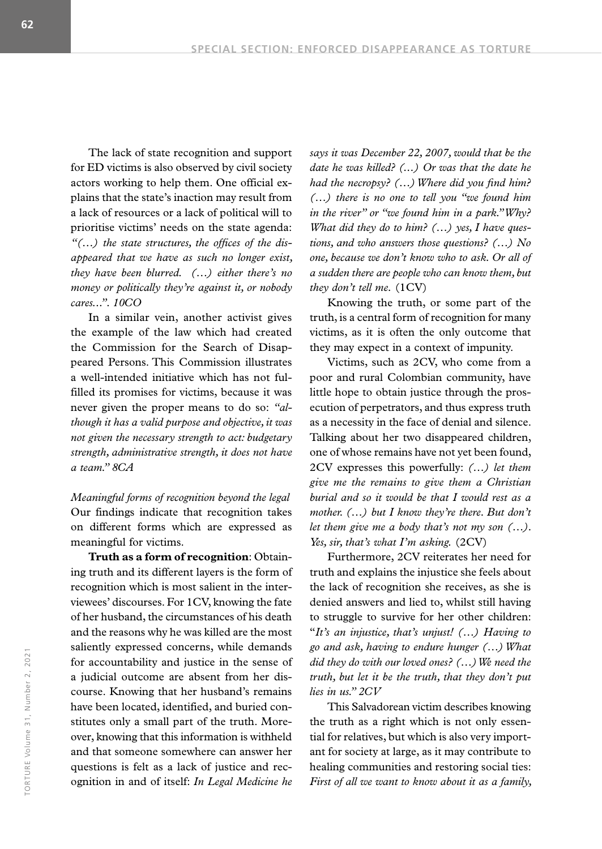The lack of state recognition and support for ED victims is also observed by civil society actors working to help them. One official explains that the state's inaction may result from a lack of resources or a lack of political will to prioritise victims' needs on the state agenda: *"(…) the state structures, the offices of the disappeared that we have as such no longer exist, they have been blurred. (…) either there's no money or politically they're against it, or nobody cares...". 10CO*

In a similar vein, another activist gives the example of the law which had created the Commission for the Search of Disappeared Persons. This Commission illustrates a well-intended initiative which has not fulfilled its promises for victims, because it was never given the proper means to do so: *"although it has a valid purpose and objective, it was not given the necessary strength to act: budgetary strength, administrative strength, it does not have a team." 8CA*

*Meaningful forms of recognition beyond the legal*  Our findings indicate that recognition takes on different forms which are expressed as meaningful for victims.

**Truth as a form of recognition**: Obtaining truth and its different layers is the form of recognition which is most salient in the interviewees' discourses. For 1CV, knowing the fate of her husband, the circumstances of his death and the reasons why he was killed are the most saliently expressed concerns, while demands for accountability and justice in the sense of a judicial outcome are absent from her discourse. Knowing that her husband's remains have been located, identified, and buried constitutes only a small part of the truth. Moreover, knowing that this information is withheld and that someone somewhere can answer her questions is felt as a lack of justice and recognition in and of itself: *In Legal Medicine he* 

*says it was December 22, 2007, would that be the date he was killed? (...) Or was that the date he had the necropsy? (…) Where did you find him? (…) there is no one to tell you "we found him in the river" or "we found him in a park." Why? What did they do to him? (…) yes, I have questions, and who answers those questions? (…) No one, because we don't know who to ask. Or all of a sudden there are people who can know them, but they don't tell me.* (1CV)

Knowing the truth, or some part of the truth, is a central form of recognition for many victims, as it is often the only outcome that they may expect in a context of impunity.

Victims, such as 2CV, who come from a poor and rural Colombian community, have little hope to obtain justice through the prosecution of perpetrators, and thus express truth as a necessity in the face of denial and silence. Talking about her two disappeared children, one of whose remains have not yet been found, 2CV expresses this powerfully: *(…) let them give me the remains to give them a Christian burial and so it would be that I would rest as a mother. (…) but I know they're there. But don't let them give me a body that's not my son (…). Yes, sir, that's what I'm asking.* (2CV)

Furthermore, 2CV reiterates her need for truth and explains the injustice she feels about the lack of recognition she receives, as she is denied answers and lied to, whilst still having to struggle to survive for her other children: "*It's an injustice, that's unjust! (…) Having to go and ask, having to endure hunger (…) What did they do with our loved ones? (…) We need the truth, but let it be the truth, that they don't put lies in us." 2CV*

This Salvadorean victim describes knowing the truth as a right which is not only essential for relatives, but which is also very important for society at large, as it may contribute to healing communities and restoring social ties: *First of all we want to know about it as a family,*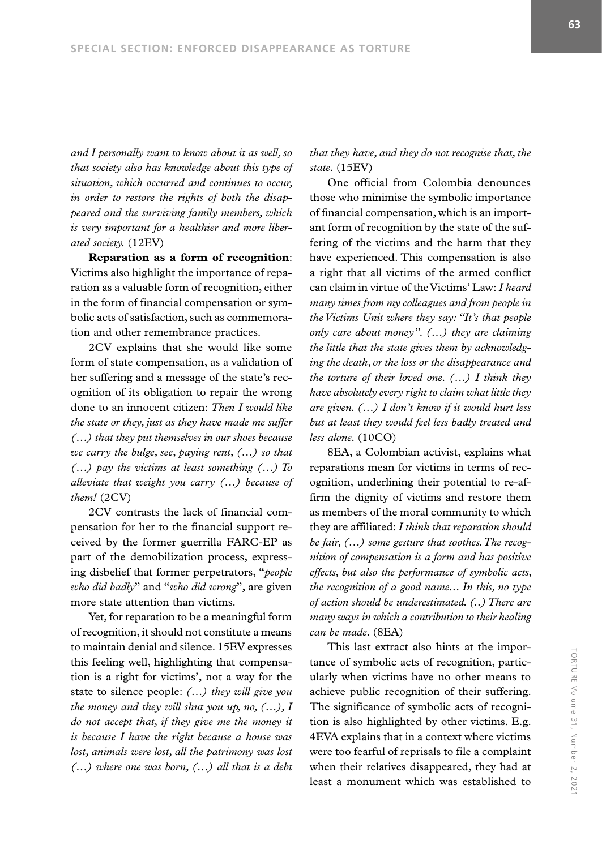*and I personally want to know about it as well, so that society also has knowledge about this type of situation, which occurred and continues to occur, in order to restore the rights of both the disappeared and the surviving family members, which is very important for a healthier and more liberated society.* (12EV)

**Reparation as a form of recognition**: Victims also highlight the importance of reparation as a valuable form of recognition, either in the form of financial compensation or symbolic acts of satisfaction, such as commemoration and other remembrance practices.

2CV explains that she would like some form of state compensation, as a validation of her suffering and a message of the state's recognition of its obligation to repair the wrong done to an innocent citizen: *Then I would like the state or they, just as they have made me suffer (…) that they put themselves in our shoes because we carry the bulge, see, paying rent, (…) so that (…) pay the victims at least something (…) To alleviate that weight you carry (…) because of them!* (2CV)

2CV contrasts the lack of financial compensation for her to the financial support received by the former guerrilla FARC-EP as part of the demobilization process, expressing disbelief that former perpetrators, "*people who did badly*" and "*who did wrong*", are given more state attention than victims.

Yet, for reparation to be a meaningful form of recognition, it should not constitute a means to maintain denial and silence. 15EV expresses this feeling well, highlighting that compensation is a right for victims', not a way for the state to silence people: *(…) they will give you the money and they will shut you up, no, (…), I do not accept that, if they give me the money it is because I have the right because a house was lost, animals were lost, all the patrimony was lost (…) where one was born, (…) all that is a debt*  *that they have, and they do not recognise that, the state.* (15EV)

One official from Colombia denounces those who minimise the symbolic importance of financial compensation, which is an important form of recognition by the state of the suffering of the victims and the harm that they have experienced. This compensation is also a right that all victims of the armed conflict can claim in virtue of the Victims' Law: *I heard many times from my colleagues and from people in the Victims Unit where they say: "It's that people only care about money". (…) they are claiming the little that the state gives them by acknowledging the death, or the loss or the disappearance and the torture of their loved one. (…) I think they have absolutely every right to claim what little they are given. (…) I don't know if it would hurt less but at least they would feel less badly treated and less alone.* (10CO)

8EA, a Colombian activist, explains what reparations mean for victims in terms of recognition, underlining their potential to re-affirm the dignity of victims and restore them as members of the moral community to which they are affiliated: *I think that reparation should be fair, (…) some gesture that soothes. The recognition of compensation is a form and has positive effects, but also the performance of symbolic acts, the recognition of a good name... In this, no type of action should be underestimated. (..) There are many ways in which a contribution to their healing can be made.* (8EA)

This last extract also hints at the importance of symbolic acts of recognition, particularly when victims have no other means to achieve public recognition of their suffering. The significance of symbolic acts of recognition is also highlighted by other victims. E.g. 4EVA explains that in a context where victims were too fearful of reprisals to file a complaint when their relatives disappeared, they had at least a monument which was established to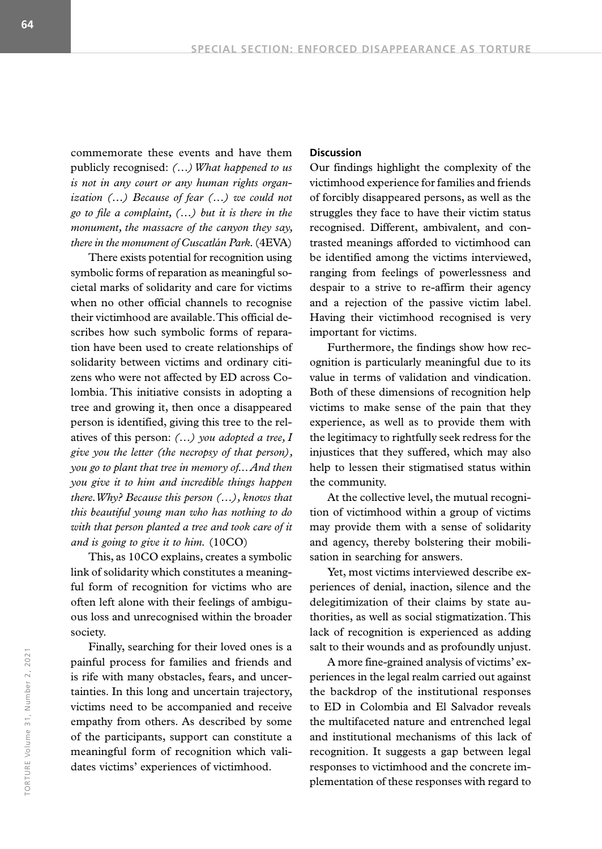commemorate these events and have them publicly recognised: *(…) What happened to us is not in any court or any human rights organization (…) Because of fear (…) we could not go to file a complaint, (…) but it is there in the monument, the massacre of the canyon they say, there in the monument of Cuscatlán Park.* (4EVA)

There exists potential for recognition using symbolic forms of reparation as meaningful societal marks of solidarity and care for victims when no other official channels to recognise their victimhood are available. This official describes how such symbolic forms of reparation have been used to create relationships of solidarity between victims and ordinary citizens who were not affected by ED across Colombia. This initiative consists in adopting a tree and growing it, then once a disappeared person is identified, giving this tree to the relatives of this person: *(…) you adopted a tree, I give you the letter (the necropsy of that person), you go to plant that tree in memory of... And then you give it to him and incredible things happen there. Why? Because this person (…), knows that this beautiful young man who has nothing to do with that person planted a tree and took care of it and is going to give it to him.* (10CO)

This, as 10CO explains, creates a symbolic link of solidarity which constitutes a meaningful form of recognition for victims who are often left alone with their feelings of ambiguous loss and unrecognised within the broader society.

Finally, searching for their loved ones is a painful process for families and friends and is rife with many obstacles, fears, and uncertainties. In this long and uncertain trajectory, victims need to be accompanied and receive empathy from others. As described by some of the participants, support can constitute a meaningful form of recognition which validates victims' experiences of victimhood.

#### **Discussion**

Our findings highlight the complexity of the victimhood experience for families and friends of forcibly disappeared persons, as well as the struggles they face to have their victim status recognised. Different, ambivalent, and contrasted meanings afforded to victimhood can be identified among the victims interviewed, ranging from feelings of powerlessness and despair to a strive to re-affirm their agency and a rejection of the passive victim label. Having their victimhood recognised is very important for victims.

Furthermore, the findings show how recognition is particularly meaningful due to its value in terms of validation and vindication. Both of these dimensions of recognition help victims to make sense of the pain that they experience, as well as to provide them with the legitimacy to rightfully seek redress for the injustices that they suffered, which may also help to lessen their stigmatised status within the community.

At the collective level, the mutual recognition of victimhood within a group of victims may provide them with a sense of solidarity and agency, thereby bolstering their mobilisation in searching for answers.

Yet, most victims interviewed describe experiences of denial, inaction, silence and the delegitimization of their claims by state authorities, as well as social stigmatization. This lack of recognition is experienced as adding salt to their wounds and as profoundly unjust.

A more fine-grained analysis of victims' experiences in the legal realm carried out against the backdrop of the institutional responses to ED in Colombia and El Salvador reveals the multifaceted nature and entrenched legal and institutional mechanisms of this lack of recognition. It suggests a gap between legal responses to victimhood and the concrete implementation of these responses with regard to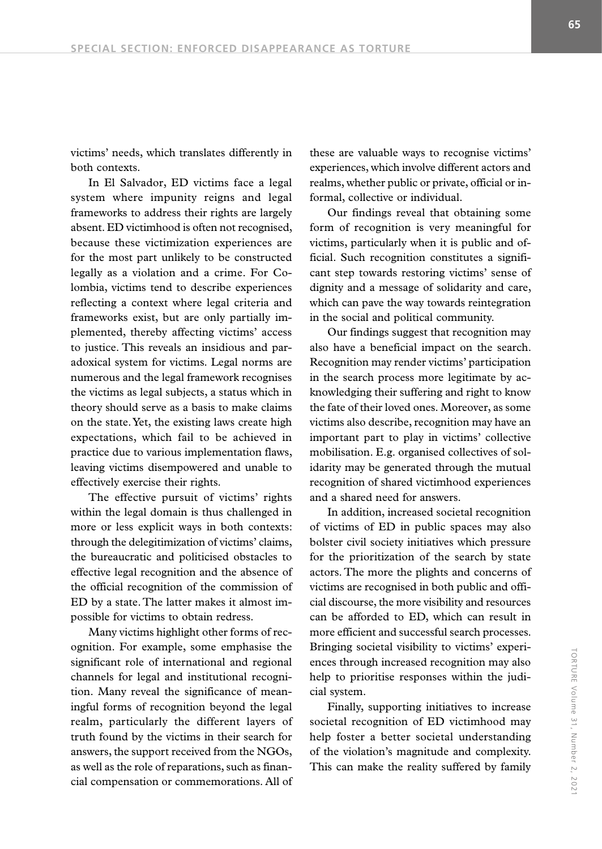victims' needs, which translates differently in both contexts.

In El Salvador, ED victims face a legal system where impunity reigns and legal frameworks to address their rights are largely absent. ED victimhood is often not recognised, because these victimization experiences are for the most part unlikely to be constructed legally as a violation and a crime. For Colombia, victims tend to describe experiences reflecting a context where legal criteria and frameworks exist, but are only partially implemented, thereby affecting victims' access to justice. This reveals an insidious and paradoxical system for victims. Legal norms are numerous and the legal framework recognises the victims as legal subjects, a status which in theory should serve as a basis to make claims on the state. Yet, the existing laws create high expectations, which fail to be achieved in practice due to various implementation flaws, leaving victims disempowered and unable to effectively exercise their rights.

The effective pursuit of victims' rights within the legal domain is thus challenged in more or less explicit ways in both contexts: through the delegitimization of victims' claims, the bureaucratic and politicised obstacles to effective legal recognition and the absence of the official recognition of the commission of ED by a state. The latter makes it almost impossible for victims to obtain redress.

Many victims highlight other forms of recognition. For example, some emphasise the significant role of international and regional channels for legal and institutional recognition. Many reveal the significance of meaningful forms of recognition beyond the legal realm, particularly the different layers of truth found by the victims in their search for answers, the support received from the NGOs, as well as the role of reparations, such as financial compensation or commemorations. All of

these are valuable ways to recognise victims' experiences, which involve different actors and realms, whether public or private, official or informal, collective or individual.

Our findings reveal that obtaining some form of recognition is very meaningful for victims, particularly when it is public and official. Such recognition constitutes a significant step towards restoring victims' sense of dignity and a message of solidarity and care, which can pave the way towards reintegration in the social and political community.

Our findings suggest that recognition may also have a beneficial impact on the search. Recognition may render victims' participation in the search process more legitimate by acknowledging their suffering and right to know the fate of their loved ones. Moreover, as some victims also describe, recognition may have an important part to play in victims' collective mobilisation. E.g. organised collectives of solidarity may be generated through the mutual recognition of shared victimhood experiences and a shared need for answers.

In addition, increased societal recognition of victims of ED in public spaces may also bolster civil society initiatives which pressure for the prioritization of the search by state actors. The more the plights and concerns of victims are recognised in both public and official discourse, the more visibility and resources can be afforded to ED, which can result in more efficient and successful search processes. Bringing societal visibility to victims' experiences through increased recognition may also help to prioritise responses within the judicial system.

Finally, supporting initiatives to increase societal recognition of ED victimhood may help foster a better societal understanding of the violation's magnitude and complexity. This can make the reality suffered by family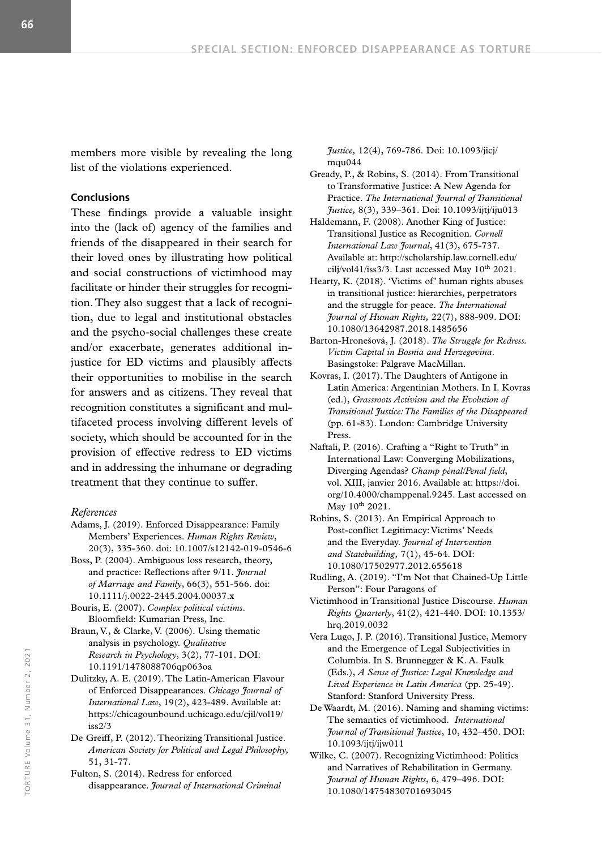members more visible by revealing the long list of the violations experienced.

#### **Conclusions**

These findings provide a valuable insight into the (lack of) agency of the families and friends of the disappeared in their search for their loved ones by illustrating how political and social constructions of victimhood may facilitate or hinder their struggles for recognition. They also suggest that a lack of recognition, due to legal and institutional obstacles and the psycho-social challenges these create and/or exacerbate, generates additional injustice for ED victims and plausibly affects their opportunities to mobilise in the search for answers and as citizens. They reveal that recognition constitutes a significant and multifaceted process involving different levels of society, which should be accounted for in the provision of effective redress to ED victims and in addressing the inhumane or degrading treatment that they continue to suffer.

#### *References*

- Adams, J. (2019). Enforced Disappearance: Family Members' Experiences. *Human Rights Review*, 20(3), 335-360. doi: 10.1007/s12142-019-0546-6
- Boss, P. (2004). Ambiguous loss research, theory, and practice: Reflections after 9/11. *Journal of Marriage and Family*, 66(3), 551-566. doi: 10.1111/j.0022-2445.2004.00037.x

Bouris, E. (2007). *Complex political victims*. Bloomfield: Kumarian Press, Inc.

- Braun, V., & Clarke, V. (2006). Using thematic analysis in psychology. *Qualitative Research in Psychology*, 3(2), 77-101. DOI: 10.1191/1478088706qp063oa
- Dulitzky, A. E. (2019). The Latin-American Flavour of Enforced Disappearances. *Chicago Journal of International Law*, 19(2), 423-489. Available at: https://chicagounbound.uchicago.edu/cjil/vol19/ iss2/3
- De Greiff, P. (2012). Theorizing Transitional Justice. *American Society for Political and Legal Philosophy,*  51, 31-77.

Fulton, S. (2014). Redress for enforced disappearance. *Journal of International Criminal*  *Justice,* 12(4), 769-786. Doi: 10.1093/jicj/ mqu044

- Gready, P., & Robins, S. (2014). From Transitional to Transformative Justice: A New Agenda for Practice. *The International Journal of Transitional Justice,* 8(3), 339–361. Doi: 10.1093/ijtj/iju013
- Haldemann, F. (2008). Another King of Justice: Transitional Justice as Recognition. *Cornell International Law Journal*, 41(3), 675-737. Available at: http://scholarship.law.cornell.edu/ cilj/vol41/iss3/3. Last accessed May 10th 2021.
- Hearty, K. (2018). 'Victims of' human rights abuses in transitional justice: hierarchies, perpetrators and the struggle for peace. *The International Journal of Human Rights,* 22(7), 888-909. DOI: 10.1080/13642987.2018.1485656
- Barton-Hronešová, J. (2018). *The Struggle for Redress. Victim Capital in Bosnia and Herzegovina*. Basingstoke: Palgrave MacMillan.
- Kovras, I. (2017). The Daughters of Antigone in Latin America: Argentinian Mothers. In I. Kovras (ed.), *Grassroots Activism and the Evolution of Transitional Justice: The Families of the Disappeared*  (pp. 61-83). London: Cambridge University Press.
- Naftali, P. (2016). Crafting a "Right to Truth" in International Law: Converging Mobilizations, Diverging Agendas? *Champ pénal/Penal field*, vol. XIII, janvier 2016. Available at: https://doi. org/10.4000/champpenal.9245. Last accessed on May 10<sup>th</sup> 2021.
- Robins, S. (2013). An Empirical Approach to Post-conflict Legitimacy: Victims' Needs and the Everyday. *Journal of Intervention and Statebuilding,* 7(1), 45-64. DOI: 10.1080/17502977.2012.655618
- Rudling, A. (2019). "I'm Not that Chained-Up Little Person": Four Paragons of
- Victimhood in Transitional Justice Discourse. *Human Rights Quarterly*, 41(2), 421-440. DOI: 10.1353/ hrq.2019.0032
- Vera Lugo, J. P. (2016). Transitional Justice, Memory and the Emergence of Legal Subjectivities in Columbia. In S. Brunnegger & K. A. Faulk (Eds.), *A Sense of Justice: Legal Knowledge and Lived Experience in Latin America* (pp*.* 25-49). Stanford: Stanford University Press.
- De Waardt, M. (2016). Naming and shaming victims: The semantics of victimhood. *International Journal of Transitional Justice*, 10, 432–450. DOI: 10.1093/ijtj/ijw011
- Wilke, C. (2007). Recognizing Victimhood: Politics and Narratives of Rehabilitation in Germany. *Journal of Human Rights*, 6, 479–496. DOI: 10.1080/14754830701693045